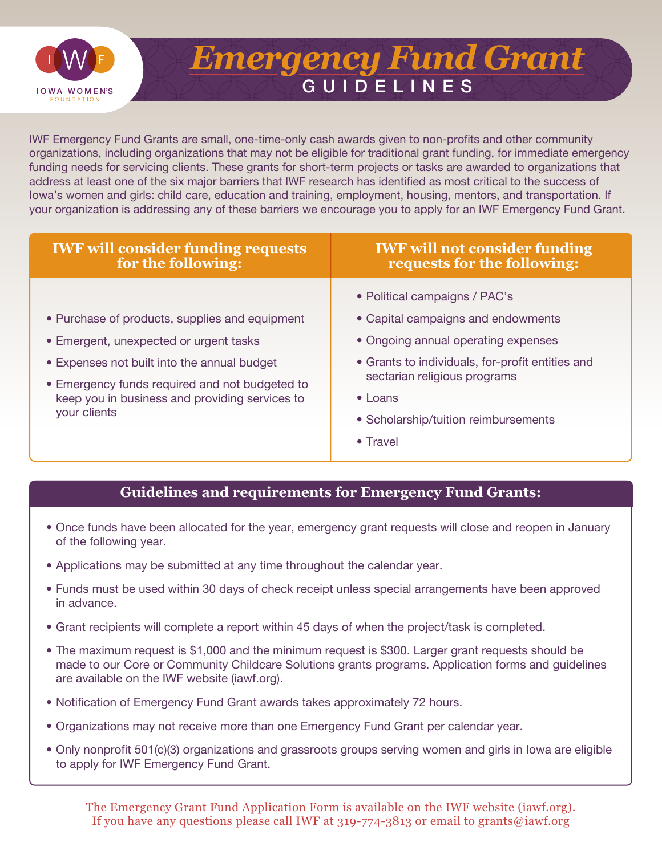

## GUIDELINES *Emergency Fund Grant*

IWF Emergency Fund Grants are small, one-time-only cash awards given to non-profits and other community organizations, including organizations that may not be eligible for traditional grant funding, for immediate emergency funding needs for servicing clients. These grants for short-term projects or tasks are awarded to organizations that address at least one of the six major barriers that IWF research has identified as most critical to the success of Iowa's women and girls: child care, education and training, employment, housing, mentors, and transportation. If your organization is addressing any of these barriers we encourage you to apply for an IWF Emergency Fund Grant.

| <b>IWF will consider funding requests</b><br>for the following:                                                                                                                                                                                             | <b>IWF will not consider funding</b><br>requests for the following:                                                                                                                                                                                       |  |  |  |
|-------------------------------------------------------------------------------------------------------------------------------------------------------------------------------------------------------------------------------------------------------------|-----------------------------------------------------------------------------------------------------------------------------------------------------------------------------------------------------------------------------------------------------------|--|--|--|
| • Purchase of products, supplies and equipment<br>• Emergent, unexpected or urgent tasks<br>• Expenses not built into the annual budget<br>• Emergency funds required and not budgeted to<br>keep you in business and providing services to<br>your clients | • Political campaigns / PAC's<br>• Capital campaigns and endowments<br>• Ongoing annual operating expenses<br>• Grants to individuals, for-profit entities and<br>sectarian religious programs<br>$\bullet$ Loans<br>• Scholarship/tuition reimbursements |  |  |  |
|                                                                                                                                                                                                                                                             | $\bullet$ Travel                                                                                                                                                                                                                                          |  |  |  |

## **Guidelines and requirements for Emergency Fund Grants:**

- Once funds have been allocated for the year, emergency grant requests will close and reopen in January of the following year.
- Applications may be submitted at any time throughout the calendar year.
- Funds must be used within 30 days of check receipt unless special arrangements have been approved in advance.
- Grant recipients will complete a report within 45 days of when the project/task is completed.
- The maximum request is \$1,000 and the minimum request is \$300. Larger grant requests should be made to our Core or Community Childcare Solutions grants programs. Application forms and guidelines are available on the IWF website (iawf.org).
- Notification of Emergency Fund Grant awards takes approximately 72 hours.
- Organizations may not receive more than one Emergency Fund Grant per calendar year.
- Only nonprofit 501(c)(3) organizations and grassroots groups serving women and girls in Iowa are eligible to apply for IWF Emergency Fund Grant.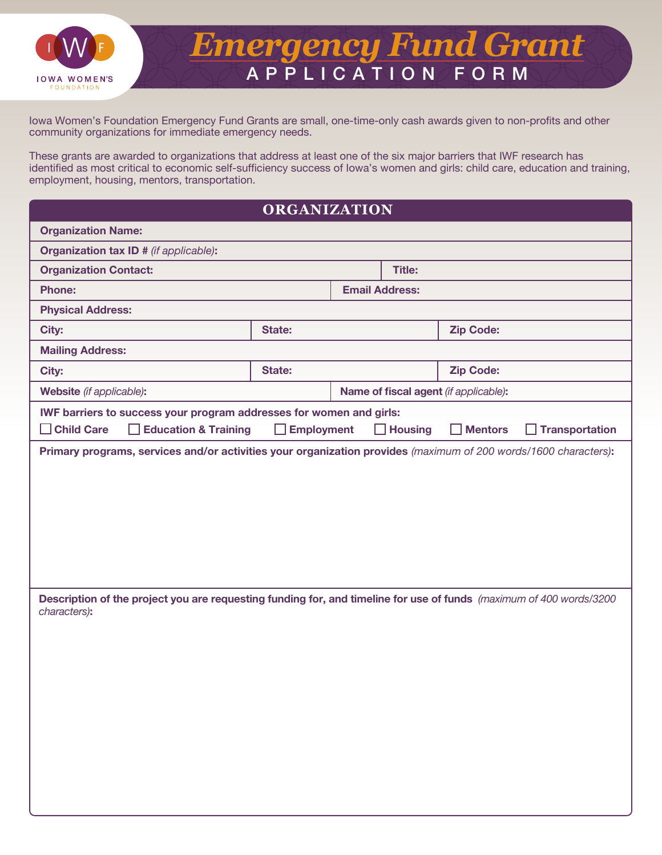

## APPLICATION FORM *Emergency Fund Grant*

Iowa Women's Foundation Emergency Fund Grants are small, one-time-only cash awards given to non-profits and other community organizations for immediate emergency needs.

These grants are awarded to organizations that address at least one of the six major barriers that IWF research has identified as most critical to economic self-sufficiency success of Iowa's women and girls: child care, education and training, employment, housing, mentors, transportation.

## **ORGANIZATION**

| <b>Organization Name:</b>                                                                                                                                                               |                   |  |                          |                                       |                              |  |
|-----------------------------------------------------------------------------------------------------------------------------------------------------------------------------------------|-------------------|--|--------------------------|---------------------------------------|------------------------------|--|
| <b>Organization tax ID # (if applicable):</b>                                                                                                                                           |                   |  |                          |                                       |                              |  |
| <b>Organization Contact:</b>                                                                                                                                                            |                   |  | <b>Title:</b>            |                                       |                              |  |
| <b>Phone:</b>                                                                                                                                                                           |                   |  | <b>Email Address:</b>    |                                       |                              |  |
| <b>Physical Address:</b>                                                                                                                                                                |                   |  |                          |                                       |                              |  |
| City:                                                                                                                                                                                   | State:            |  |                          | <b>Zip Code:</b>                      |                              |  |
| <b>Mailing Address:</b>                                                                                                                                                                 |                   |  |                          |                                       |                              |  |
| City:                                                                                                                                                                                   | State:            |  |                          | <b>Zip Code:</b>                      |                              |  |
| Website (if applicable):                                                                                                                                                                |                   |  |                          | Name of fiscal agent (if applicable): |                              |  |
| IWF barriers to success your program addresses for women and girls:                                                                                                                     |                   |  |                          |                                       |                              |  |
| $\Box$ Child Care<br><b>Education &amp; Training</b><br>$\mathbf{L}$<br>Primary programs, services and/or activities your organization provides (maximum of 200 words/1600 characters): | <b>Employment</b> |  | <b>Housing</b><br>$\Box$ | $\Box$ Mentors                        | <b>Transportation</b><br>- 1 |  |
|                                                                                                                                                                                         |                   |  |                          |                                       |                              |  |
| Description of the project you are requesting funding for, and timeline for use of funds (maximum of 400 words/3200<br>characters):                                                     |                   |  |                          |                                       |                              |  |